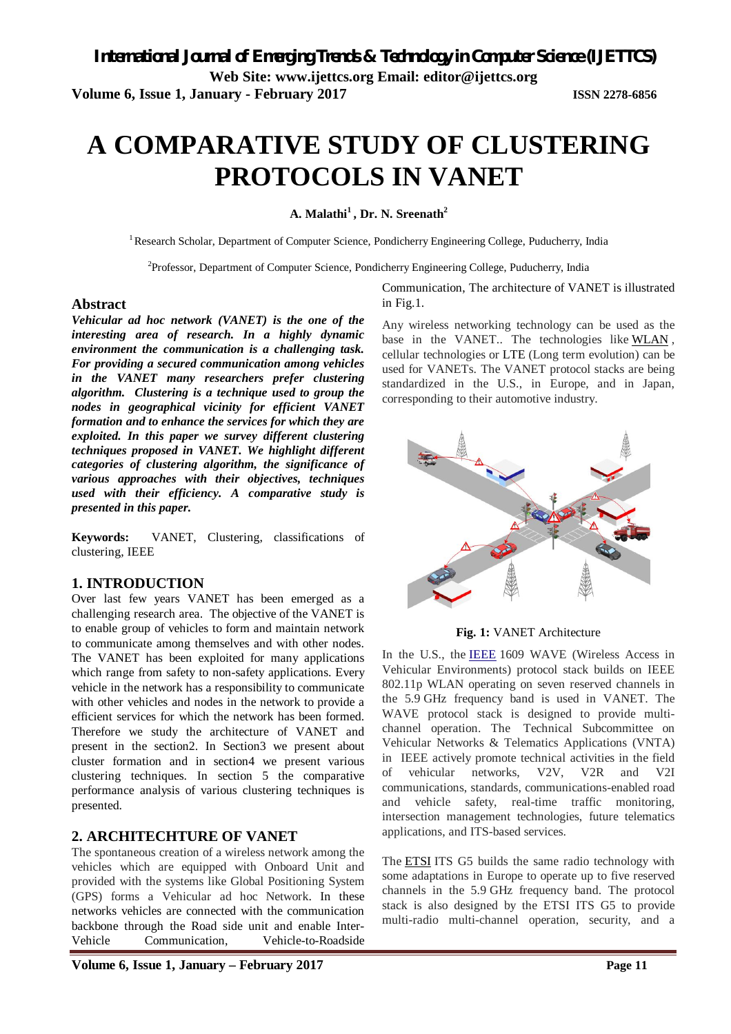**Volume 6, Issue 1, January - February 2017 ISSN 2278-6856**

# **A COMPARATIVE STUDY OF CLUSTERING PROTOCOLS IN VANET**

**A. Malathi<sup>1</sup>, Dr. N. Sreenath<sup>2</sup>**

<sup>1</sup> Research Scholar, Department of Computer Science, Pondicherry Engineering College, Puducherry, India

<sup>2</sup>Professor, Department of Computer Science, Pondicherry Engineering College, Puducherry, India

#### **Abstract**

*Vehicular ad hoc network (VANET) is the one of the interesting area of research. In a highly dynamic environment the communication is a challenging task. For providing a secured communication among vehicles in the VANET many researchers prefer clustering algorithm. Clustering is a technique used to group the nodes in geographical vicinity for efficient VANET formation and to enhance the services for which they are exploited. In this paper we survey different clustering techniques proposed in VANET. We highlight different categories of clustering algorithm, the significance of various approaches with their objectives, techniques used with their efficiency. A comparative study is presented in this paper.*

**Keywords:** VANET, Clustering, classifications of clustering, IEEE

### **1. INTRODUCTION**

Over last few years VANET has been emerged as a challenging research area. The objective of the VANET is to enable group of vehicles to form and maintain network to communicate among themselves and with other nodes. The VANET has been exploited for many applications which range from safety to non-safety applications. Every vehicle in the network has a responsibility to communicate with other vehicles and nodes in the network to provide a efficient services for which the network has been formed. Therefore we study the architecture of VANET and present in the section2. In Section3 we present about cluster formation and in section4 we present various clustering techniques. In section 5 the comparative performance analysis of various clustering techniques is presented.

### **2. ARCHITECHTURE OF VANET**

The spontaneous creation of a wireless network among the vehicles which are equipped with Onboard Unit and provided with the systems like Global Positioning System (GPS) forms a Vehicular ad hoc Network. In these networks vehicles are connected with the communication backbone through the Road side unit and enable Inter-Vehicle Communication, Vehicle-to-Roadside

Communication, The architecture of VANET is illustrated in Fig.1.

Any wireless networking technology can be used as the base in the VANET.. The technologies like WLAN , cellular technologies or LTE (Long term evolution) can be used for VANETs. The VANET protocol stacks are being standardized in the U.S., in Europe, and in Japan, corresponding to their automotive industry.



**Fig. 1:** VANET Architecture

In the U.S., the IEEE 1609 WAVE (Wireless Access in Vehicular Environments) protocol stack builds on IEEE 802.11p WLAN operating on seven reserved channels in the 5.9 GHz frequency band is used in VANET. The WAVE protocol stack is designed to provide multichannel operation. The Technical Subcommittee on Vehicular Networks & Telematics Applications (VNTA) in IEEE actively promote technical activities in the field of vehicular networks, V2V, V2R and V2I communications, standards, communications-enabled road and vehicle safety, real-time traffic monitoring, intersection management technologies, future telematics applications, and ITS-based services.

The ETSI ITS G5 builds the same radio technology with some adaptations in Europe to operate up to five reserved channels in the 5.9 GHz frequency band. The protocol stack is also designed by the ETSI ITS G5 to provide multi-radio multi-channel operation, security, and a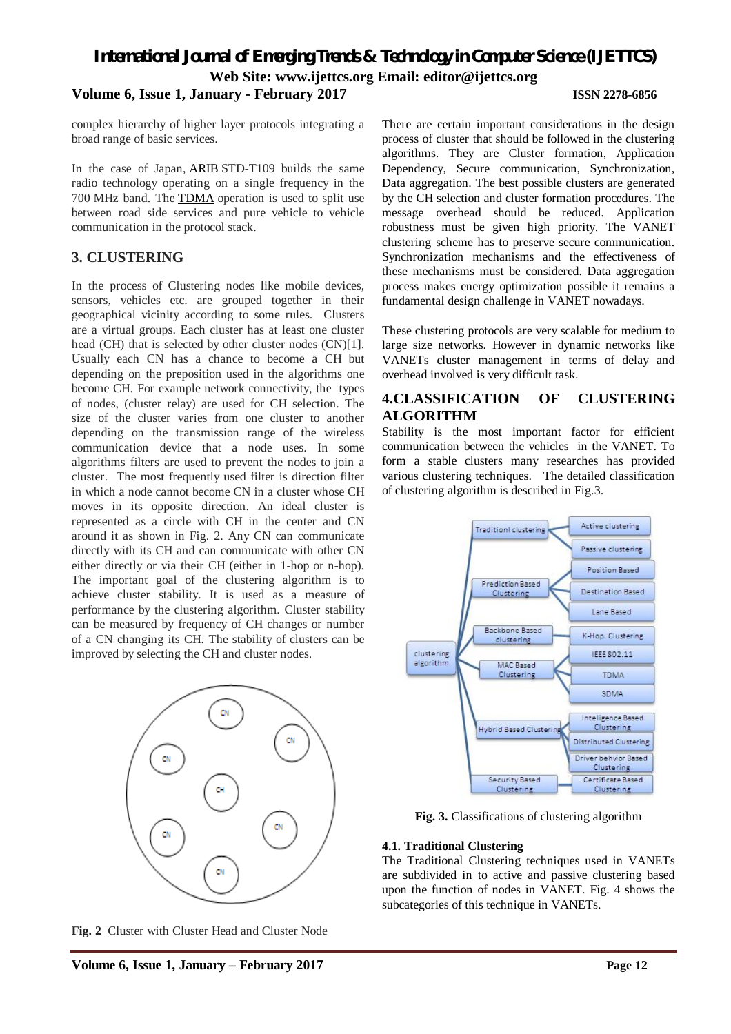complex hierarchy of higher layer protocols integrating a broad range of basic services.

In the case of Japan, ARIB STD-T109 builds the same radio technology operating on a single frequency in the 700 MHz band. The TDMA operation is used to split use between road side services and pure vehicle to vehicle communication in the protocol stack.

# **3. CLUSTERING**

In the process of Clustering nodes like mobile devices, sensors, vehicles etc. are grouped together in their geographical vicinity according to some rules. Clusters are a virtual groups. Each cluster has at least one cluster head (CH) that is selected by other cluster nodes (CN)[1]. Usually each CN has a chance to become a CH but depending on the preposition used in the algorithms one become CH. For example network connectivity, the types of nodes, (cluster relay) are used for CH selection. The size of the cluster varies from one cluster to another depending on the transmission range of the wireless communication device that a node uses. In some algorithms filters are used to prevent the nodes to join a cluster. The most frequently used filter is direction filter in which a node cannot become CN in a cluster whose CH moves in its opposite direction. An ideal cluster is represented as a circle with CH in the center and CN around it as shown in Fig. 2. Any CN can communicate directly with its CH and can communicate with other CN either directly or via their CH (either in 1-hop or n-hop). The important goal of the clustering algorithm is to achieve cluster stability. It is used as a measure of performance by the clustering algorithm. Cluster stability can be measured by frequency of CH changes or number of a CN changing its CH. The stability of clusters can be improved by selecting the CH and cluster nodes.



**Fig. 2** Cluster with Cluster Head and Cluster Node

There are certain important considerations in the design process of cluster that should be followed in the clustering algorithms. They are Cluster formation, Application Dependency, Secure communication, Synchronization, Data aggregation. The best possible clusters are generated by the CH selection and cluster formation procedures. The message overhead should be reduced. Application robustness must be given high priority. The VANET clustering scheme has to preserve secure communication. Synchronization mechanisms and the effectiveness of these mechanisms must be considered. Data aggregation process makes energy optimization possible it remains a fundamental design challenge in VANET nowadays.

These clustering protocols are very scalable for medium to large size networks. However in dynamic networks like VANETs cluster management in terms of delay and overhead involved is very difficult task.

# **4.CLASSIFICATION OF CLUSTERING ALGORITHM**

Stability is the most important factor for efficient communication between the vehicles in the VANET. To form a stable clusters many researches has provided various clustering techniques. The detailed classification of clustering algorithm is described in Fig.3.



**Fig. 3.** Classifications of clustering algorithm

#### **4.1. Traditional Clustering**

The Traditional Clustering techniques used in VANETs are subdivided in to active and passive clustering based upon the function of nodes in VANET. Fig. 4 shows the subcategories of this technique in VANETs.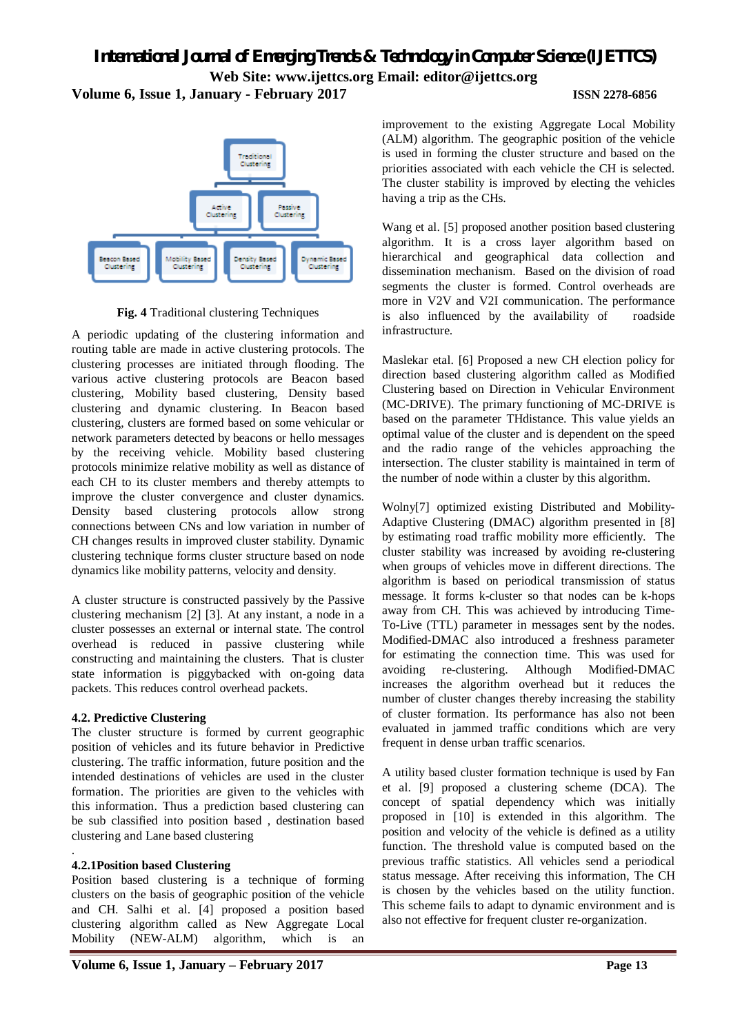

**Fig. 4** Traditional clustering Techniques

A periodic updating of the clustering information and routing table are made in active clustering protocols. The clustering processes are initiated through flooding. The various active clustering protocols are Beacon based clustering, Mobility based clustering, Density based clustering and dynamic clustering. In Beacon based clustering, clusters are formed based on some vehicular or network parameters detected by beacons or hello messages by the receiving vehicle. Mobility based clustering protocols minimize relative mobility as well as distance of each CH to its cluster members and thereby attempts to improve the cluster convergence and cluster dynamics. Density based clustering protocols allow strong connections between CNs and low variation in number of CH changes results in improved cluster stability. Dynamic clustering technique forms cluster structure based on node dynamics like mobility patterns, velocity and density.

A cluster structure is constructed passively by the Passive clustering mechanism [2] [3]. At any instant, a node in a cluster possesses an external or internal state. The control overhead is reduced in passive clustering while constructing and maintaining the clusters. That is cluster state information is piggybacked with on-going data packets. This reduces control overhead packets.

### **4.2. Predictive Clustering**

The cluster structure is formed by current geographic position of vehicles and its future behavior in Predictive clustering. The traffic information, future position and the intended destinations of vehicles are used in the cluster formation. The priorities are given to the vehicles with this information. Thus a prediction based clustering can be sub classified into position based , destination based clustering and Lane based clustering

#### . **4.2.1Position based Clustering**

Position based clustering is a technique of forming clusters on the basis of geographic position of the vehicle and CH. Salhi et al. [4] proposed a position based clustering algorithm called as New Aggregate Local Mobility (NEW-ALM) algorithm, which is an

improvement to the existing Aggregate Local Mobility (ALM) algorithm. The geographic position of the vehicle is used in forming the cluster structure and based on the priorities associated with each vehicle the CH is selected. The cluster stability is improved by electing the vehicles having a trip as the CHs.

Wang et al. [5] proposed another position based clustering algorithm. It is a cross layer algorithm based on hierarchical and geographical data collection and dissemination mechanism. Based on the division of road segments the cluster is formed. Control overheads are more in V2V and V2I communication. The performance is also influenced by the availability of roadside infrastructure.

Maslekar etal. [6] Proposed a new CH election policy for direction based clustering algorithm called as Modified Clustering based on Direction in Vehicular Environment (MC-DRIVE). The primary functioning of MC-DRIVE is based on the parameter THdistance. This value yields an optimal value of the cluster and is dependent on the speed and the radio range of the vehicles approaching the intersection. The cluster stability is maintained in term of the number of node within a cluster by this algorithm.

Wolny[7] optimized existing Distributed and Mobility-Adaptive Clustering (DMAC) algorithm presented in [8] by estimating road traffic mobility more efficiently. The cluster stability was increased by avoiding re-clustering when groups of vehicles move in different directions. The algorithm is based on periodical transmission of status message. It forms k-cluster so that nodes can be k-hops away from CH. This was achieved by introducing Time-To-Live (TTL) parameter in messages sent by the nodes. Modified-DMAC also introduced a freshness parameter for estimating the connection time. This was used for avoiding re-clustering. Although Modified-DMAC increases the algorithm overhead but it reduces the number of cluster changes thereby increasing the stability of cluster formation. Its performance has also not been evaluated in jammed traffic conditions which are very frequent in dense urban traffic scenarios.

A utility based cluster formation technique is used by Fan et al. [9] proposed a clustering scheme (DCA). The concept of spatial dependency which was initially proposed in [10] is extended in this algorithm. The position and velocity of the vehicle is defined as a utility function. The threshold value is computed based on the previous traffic statistics. All vehicles send a periodical status message. After receiving this information, The CH is chosen by the vehicles based on the utility function. This scheme fails to adapt to dynamic environment and is also not effective for frequent cluster re-organization.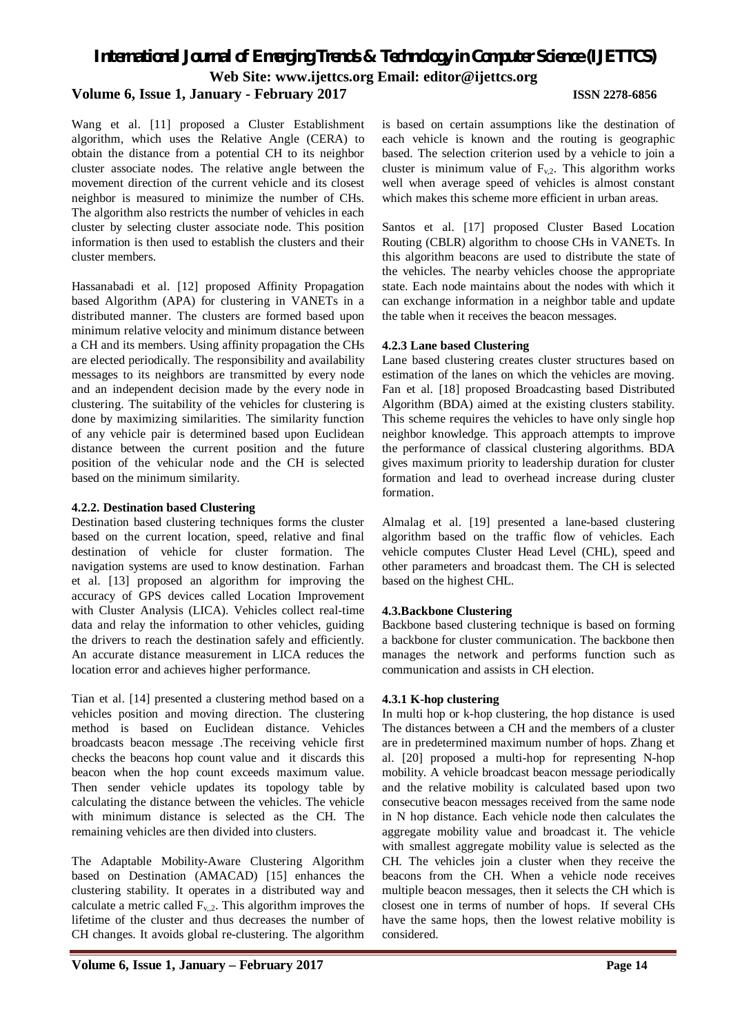Wang et al. [11] proposed a Cluster Establishment algorithm, which uses the Relative Angle (CERA) to obtain the distance from a potential CH to its neighbor cluster associate nodes. The relative angle between the movement direction of the current vehicle and its closest

neighbor is measured to minimize the number of CHs. The algorithm also restricts the number of vehicles in each cluster by selecting cluster associate node. This position information is then used to establish the clusters and their cluster members.

Hassanabadi et al. [12] proposed Affinity Propagation based Algorithm (APA) for clustering in VANETs in a distributed manner. The clusters are formed based upon minimum relative velocity and minimum distance between a CH and its members. Using affinity propagation the CHs are elected periodically. The responsibility and availability messages to its neighbors are transmitted by every node and an independent decision made by the every node in clustering. The suitability of the vehicles for clustering is done by maximizing similarities. The similarity function of any vehicle pair is determined based upon Euclidean distance between the current position and the future position of the vehicular node and the CH is selected based on the minimum similarity.

#### **4.2.2. Destination based Clustering**

Destination based clustering techniques forms the cluster based on the current location, speed, relative and final destination of vehicle for cluster formation. The navigation systems are used to know destination. Farhan et al. [13] proposed an algorithm for improving the accuracy of GPS devices called Location Improvement with Cluster Analysis (LICA). Vehicles collect real-time data and relay the information to other vehicles, guiding the drivers to reach the destination safely and efficiently. An accurate distance measurement in LICA reduces the location error and achieves higher performance.

Tian et al. [14] presented a clustering method based on a vehicles position and moving direction. The clustering method is based on Euclidean distance. Vehicles broadcasts beacon message .The receiving vehicle first checks the beacons hop count value and it discards this beacon when the hop count exceeds maximum value. Then sender vehicle updates its topology table by calculating the distance between the vehicles. The vehicle with minimum distance is selected as the CH. The remaining vehicles are then divided into clusters.

The Adaptable Mobility-Aware Clustering Algorithm based on Destination (AMACAD) [15] enhances the clustering stability. It operates in a distributed way and calculate a metric called  $F_{v,2}$ . This algorithm improves the lifetime of the cluster and thus decreases the number of CH changes. It avoids global re-clustering. The algorithm

is based on certain assumptions like the destination of each vehicle is known and the routing is geographic based. The selection criterion used by a vehicle to join a cluster is minimum value of  $F_v$ . This algorithm works well when average speed of vehicles is almost constant which makes this scheme more efficient in urban areas.

Santos et al. [17] proposed Cluster Based Location Routing (CBLR) algorithm to choose CHs in VANETs. In this algorithm beacons are used to distribute the state of the vehicles. The nearby vehicles choose the appropriate state. Each node maintains about the nodes with which it can exchange information in a neighbor table and update the table when it receives the beacon messages.

#### **4.2.3 Lane based Clustering**

Lane based clustering creates cluster structures based on estimation of the lanes on which the vehicles are moving. Fan et al. [18] proposed Broadcasting based Distributed Algorithm (BDA) aimed at the existing clusters stability. This scheme requires the vehicles to have only single hop neighbor knowledge. This approach attempts to improve the performance of classical clustering algorithms. BDA gives maximum priority to leadership duration for cluster formation and lead to overhead increase during cluster formation.

Almalag et al. [19] presented a lane-based clustering algorithm based on the traffic flow of vehicles. Each vehicle computes Cluster Head Level (CHL), speed and other parameters and broadcast them. The CH is selected based on the highest CHL.

### **4.3.Backbone Clustering**

Backbone based clustering technique is based on forming a backbone for cluster communication. The backbone then manages the network and performs function such as communication and assists in CH election.

### **4.3.1 K-hop clustering**

In multi hop or k-hop clustering, the hop distance is used The distances between a CH and the members of a cluster are in predetermined maximum number of hops. Zhang et al. [20] proposed a multi-hop for representing N-hop mobility. A vehicle broadcast beacon message periodically and the relative mobility is calculated based upon two consecutive beacon messages received from the same node in N hop distance. Each vehicle node then calculates the aggregate mobility value and broadcast it. The vehicle with smallest aggregate mobility value is selected as the CH. The vehicles join a cluster when they receive the beacons from the CH. When a vehicle node receives multiple beacon messages, then it selects the CH which is closest one in terms of number of hops. If several CHs have the same hops, then the lowest relative mobility is considered.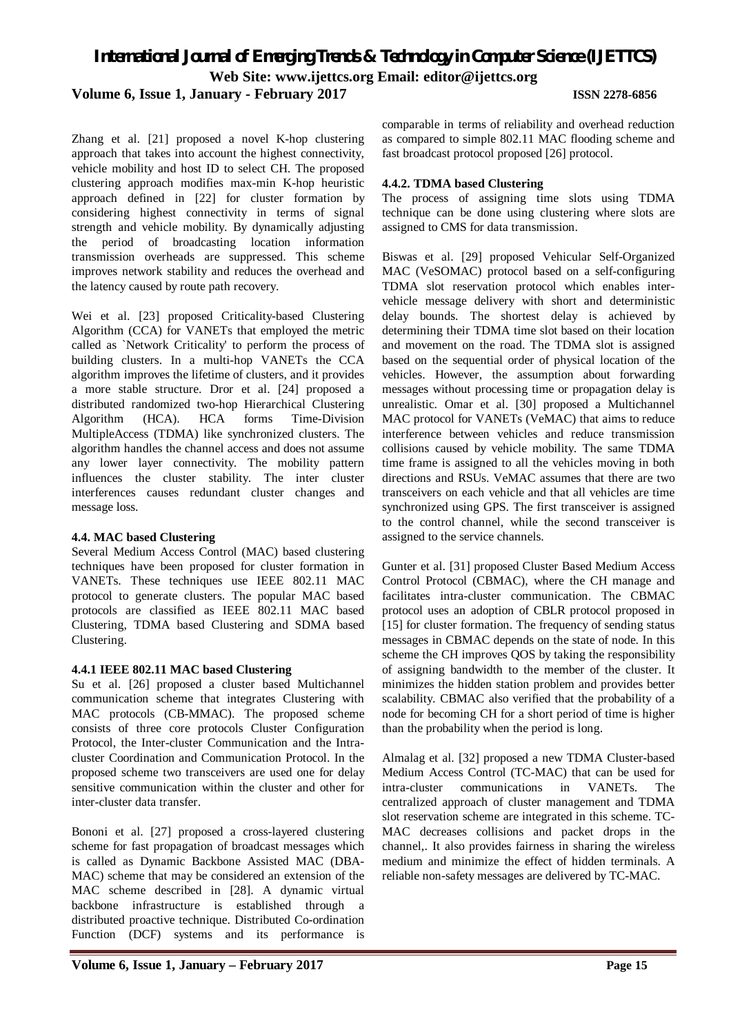**Volume 6, Issue 1, January - February 2017 ISSN 2278-6856**

Zhang et al. [21] proposed a novel K-hop clustering approach that takes into account the highest connectivity, vehicle mobility and host ID to select CH. The proposed clustering approach modifies max-min K-hop heuristic approach defined in [22] for cluster formation by considering highest connectivity in terms of signal strength and vehicle mobility. By dynamically adjusting the period of broadcasting location information transmission overheads are suppressed. This scheme improves network stability and reduces the overhead and the latency caused by route path recovery.

Wei et al. [23] proposed Criticality-based Clustering Algorithm (CCA) for VANETs that employed the metric called as `Network Criticality' to perform the process of building clusters. In a multi-hop VANETs the CCA algorithm improves the lifetime of clusters, and it provides a more stable structure. Dror et al. [24] proposed a distributed randomized two-hop Hierarchical Clustering Algorithm (HCA). HCA forms Time-Division MultipleAccess (TDMA) like synchronized clusters. The algorithm handles the channel access and does not assume any lower layer connectivity. The mobility pattern influences the cluster stability. The inter cluster interferences causes redundant cluster changes and message loss.

#### **4.4. MAC based Clustering**

Several Medium Access Control (MAC) based clustering techniques have been proposed for cluster formation in VANETs. These techniques use IEEE 802.11 MAC protocol to generate clusters. The popular MAC based protocols are classified as IEEE 802.11 MAC based Clustering, TDMA based Clustering and SDMA based Clustering.

#### **4.4.1 IEEE 802.11 MAC based Clustering**

Su et al. [26] proposed a cluster based Multichannel communication scheme that integrates Clustering with MAC protocols (CB-MMAC). The proposed scheme consists of three core protocols Cluster Configuration Protocol, the Inter-cluster Communication and the Intracluster Coordination and Communication Protocol. In the proposed scheme two transceivers are used one for delay sensitive communication within the cluster and other for inter-cluster data transfer.

Bononi et al. [27] proposed a cross-layered clustering scheme for fast propagation of broadcast messages which is called as Dynamic Backbone Assisted MAC (DBA-MAC) scheme that may be considered an extension of the MAC scheme described in [28]. A dynamic virtual backbone infrastructure is established through a distributed proactive technique. Distributed Co-ordination Function (DCF) systems and its performance is

comparable in terms of reliability and overhead reduction as compared to simple 802.11 MAC flooding scheme and fast broadcast protocol proposed [26] protocol.

#### **4.4.2. TDMA based Clustering**

The process of assigning time slots using TDMA technique can be done using clustering where slots are assigned to CMS for data transmission.

Biswas et al. [29] proposed Vehicular Self-Organized MAC (VeSOMAC) protocol based on a self-configuring TDMA slot reservation protocol which enables intervehicle message delivery with short and deterministic delay bounds. The shortest delay is achieved by determining their TDMA time slot based on their location and movement on the road. The TDMA slot is assigned based on the sequential order of physical location of the vehicles. However, the assumption about forwarding messages without processing time or propagation delay is unrealistic. Omar et al. [30] proposed a Multichannel MAC protocol for VANETs (VeMAC) that aims to reduce interference between vehicles and reduce transmission collisions caused by vehicle mobility. The same TDMA time frame is assigned to all the vehicles moving in both directions and RSUs. VeMAC assumes that there are two transceivers on each vehicle and that all vehicles are time synchronized using GPS. The first transceiver is assigned to the control channel, while the second transceiver is assigned to the service channels.

Gunter et al. [31] proposed Cluster Based Medium Access Control Protocol (CBMAC), where the CH manage and facilitates intra-cluster communication. The CBMAC protocol uses an adoption of CBLR protocol proposed in [15] for cluster formation. The frequency of sending status messages in CBMAC depends on the state of node. In this scheme the CH improves QOS by taking the responsibility of assigning bandwidth to the member of the cluster. It minimizes the hidden station problem and provides better scalability. CBMAC also verified that the probability of a node for becoming CH for a short period of time is higher than the probability when the period is long.

Almalag et al. [32] proposed a new TDMA Cluster-based Medium Access Control (TC-MAC) that can be used for intra-cluster communications in VANETs. The centralized approach of cluster management and TDMA slot reservation scheme are integrated in this scheme. TC-MAC decreases collisions and packet drops in the channel,. It also provides fairness in sharing the wireless medium and minimize the effect of hidden terminals. A reliable non-safety messages are delivered by TC-MAC.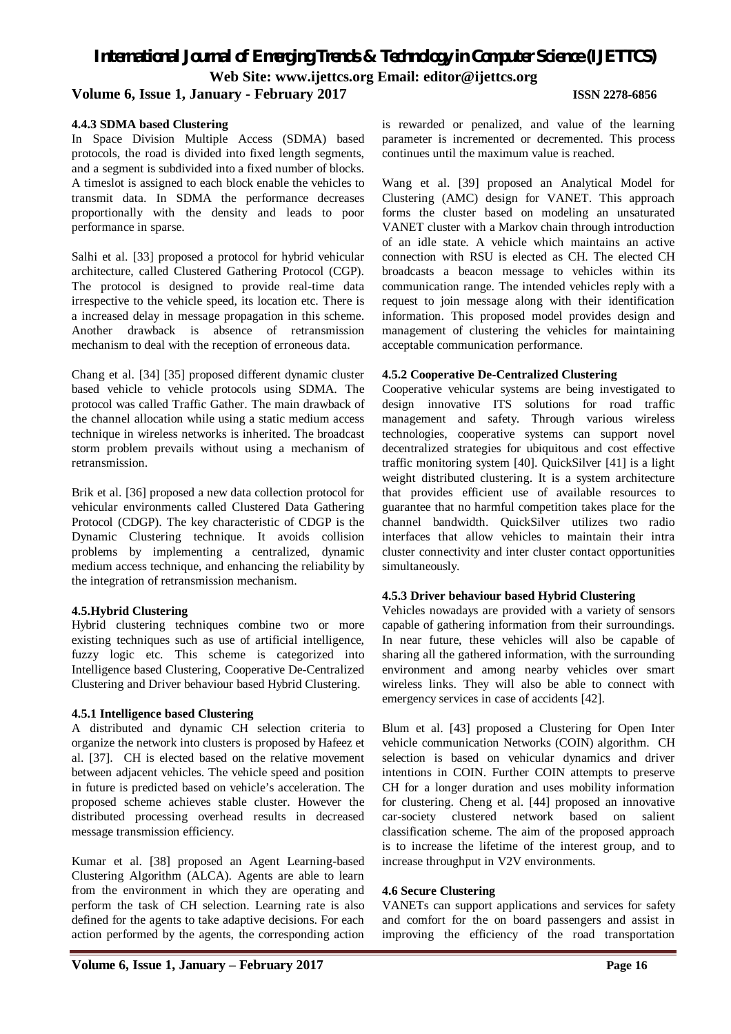# **Volume 6, Issue 1, January - February 2017 ISSN 2278-6856**

#### **4.4.3 SDMA based Clustering**

In Space Division Multiple Access (SDMA) based protocols, the road is divided into fixed length segments, and a segment is subdivided into a fixed number of blocks. A timeslot is assigned to each block enable the vehicles to transmit data. In SDMA the performance decreases proportionally with the density and leads to poor performance in sparse.

Salhi et al. [33] proposed a protocol for hybrid vehicular architecture, called Clustered Gathering Protocol (CGP). The protocol is designed to provide real-time data irrespective to the vehicle speed, its location etc. There is a increased delay in message propagation in this scheme. Another drawback is absence of retransmission mechanism to deal with the reception of erroneous data.

Chang et al. [34] [35] proposed different dynamic cluster based vehicle to vehicle protocols using SDMA. The protocol was called Traffic Gather. The main drawback of the channel allocation while using a static medium access technique in wireless networks is inherited. The broadcast storm problem prevails without using a mechanism of retransmission.

Brik et al. [36] proposed a new data collection protocol for vehicular environments called Clustered Data Gathering Protocol (CDGP). The key characteristic of CDGP is the Dynamic Clustering technique. It avoids collision problems by implementing a centralized, dynamic medium access technique, and enhancing the reliability by the integration of retransmission mechanism.

#### **4.5.Hybrid Clustering**

Hybrid clustering techniques combine two or more existing techniques such as use of artificial intelligence, fuzzy logic etc. This scheme is categorized into Intelligence based Clustering, Cooperative De-Centralized Clustering and Driver behaviour based Hybrid Clustering.

#### **4.5.1 Intelligence based Clustering**

A distributed and dynamic CH selection criteria to organize the network into clusters is proposed by Hafeez et al. [37]. CH is elected based on the relative movement between adjacent vehicles. The vehicle speed and position in future is predicted based on vehicle's acceleration. The proposed scheme achieves stable cluster. However the distributed processing overhead results in decreased message transmission efficiency.

Kumar et al. [38] proposed an Agent Learning-based Clustering Algorithm (ALCA). Agents are able to learn from the environment in which they are operating and perform the task of CH selection. Learning rate is also defined for the agents to take adaptive decisions. For each action performed by the agents, the corresponding action

is rewarded or penalized, and value of the learning parameter is incremented or decremented. This process continues until the maximum value is reached.

Wang et al. [39] proposed an Analytical Model for Clustering (AMC) design for VANET. This approach forms the cluster based on modeling an unsaturated VANET cluster with a Markov chain through introduction of an idle state. A vehicle which maintains an active connection with RSU is elected as CH. The elected CH broadcasts a beacon message to vehicles within its communication range. The intended vehicles reply with a request to join message along with their identification information. This proposed model provides design and management of clustering the vehicles for maintaining acceptable communication performance.

#### **4.5.2 Cooperative De-Centralized Clustering**

Cooperative vehicular systems are being investigated to design innovative ITS solutions for road traffic management and safety. Through various wireless technologies, cooperative systems can support novel decentralized strategies for ubiquitous and cost effective traffic monitoring system [40]. QuickSilver [41] is a light weight distributed clustering. It is a system architecture that provides efficient use of available resources to guarantee that no harmful competition takes place for the channel bandwidth. QuickSilver utilizes two radio interfaces that allow vehicles to maintain their intra cluster connectivity and inter cluster contact opportunities simultaneously.

#### **4.5.3 Driver behaviour based Hybrid Clustering**

Vehicles nowadays are provided with a variety of sensors capable of gathering information from their surroundings. In near future, these vehicles will also be capable of sharing all the gathered information, with the surrounding environment and among nearby vehicles over smart wireless links. They will also be able to connect with emergency services in case of accidents [42].

Blum et al. [43] proposed a Clustering for Open Inter vehicle communication Networks (COIN) algorithm. CH selection is based on vehicular dynamics and driver intentions in COIN. Further COIN attempts to preserve CH for a longer duration and uses mobility information for clustering. Cheng et al. [44] proposed an innovative car-society clustered network based on salient classification scheme. The aim of the proposed approach is to increase the lifetime of the interest group, and to increase throughput in V2V environments.

#### **4.6 Secure Clustering**

VANETs can support applications and services for safety and comfort for the on board passengers and assist in improving the efficiency of the road transportation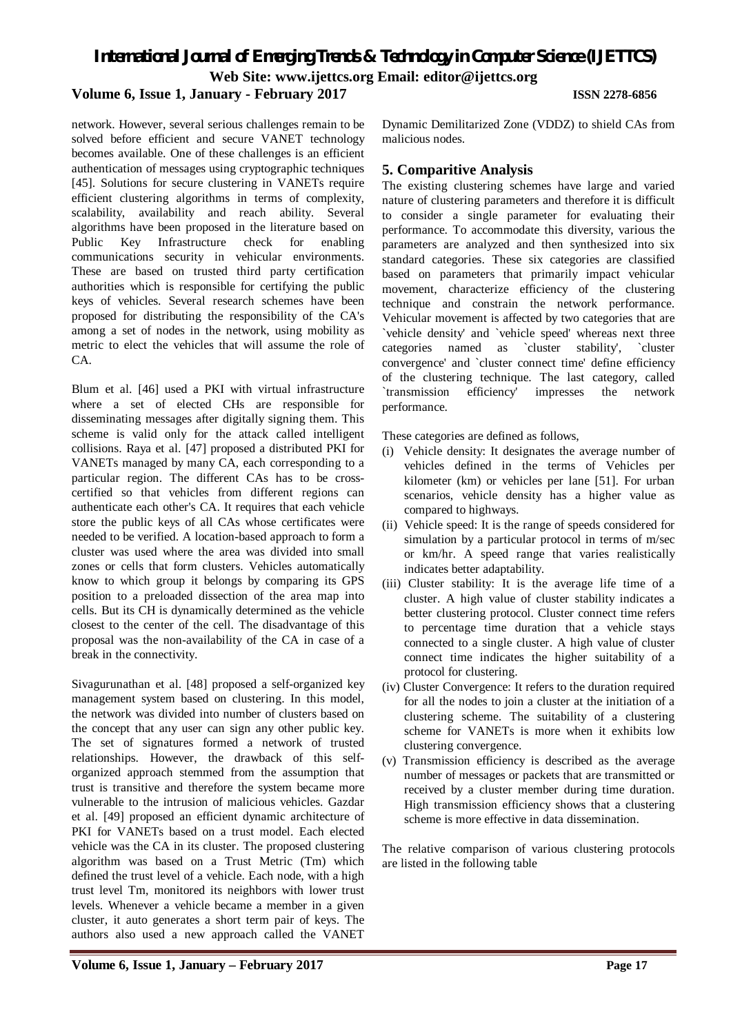*International Journal of Emerging Trends & Technology in Computer Science (IJETTCS)*

**Web Site: www.ijettcs.org Email: editor@ijettcs.org** 

# **Volume 6, Issue 1, January - February 2017 ISSN 2278-6856**

network. However, several serious challenges remain to be solved before efficient and secure VANET technology becomes available. One of these challenges is an efficient authentication of messages using cryptographic techniques [45]. Solutions for secure clustering in VANETs require efficient clustering algorithms in terms of complexity, scalability, availability and reach ability. Several algorithms have been proposed in the literature based on Public Key Infrastructure check for enabling communications security in vehicular environments. These are based on trusted third party certification authorities which is responsible for certifying the public keys of vehicles. Several research schemes have been proposed for distributing the responsibility of the CA's among a set of nodes in the network, using mobility as metric to elect the vehicles that will assume the role of  $CA$ 

Blum et al. [46] used a PKI with virtual infrastructure where a set of elected CHs are responsible for disseminating messages after digitally signing them. This scheme is valid only for the attack called intelligent collisions. Raya et al. [47] proposed a distributed PKI for VANETs managed by many CA, each corresponding to a particular region. The different CAs has to be crosscertified so that vehicles from different regions can authenticate each other's CA. It requires that each vehicle store the public keys of all CAs whose certificates were needed to be verified. A location-based approach to form a cluster was used where the area was divided into small zones or cells that form clusters. Vehicles automatically know to which group it belongs by comparing its GPS position to a preloaded dissection of the area map into cells. But its CH is dynamically determined as the vehicle closest to the center of the cell. The disadvantage of this proposal was the non-availability of the CA in case of a break in the connectivity.

Sivagurunathan et al. [48] proposed a self-organized key management system based on clustering. In this model, the network was divided into number of clusters based on the concept that any user can sign any other public key. The set of signatures formed a network of trusted relationships. However, the drawback of this selforganized approach stemmed from the assumption that trust is transitive and therefore the system became more vulnerable to the intrusion of malicious vehicles. Gazdar et al. [49] proposed an efficient dynamic architecture of PKI for VANETs based on a trust model. Each elected vehicle was the CA in its cluster. The proposed clustering algorithm was based on a Trust Metric (Tm) which defined the trust level of a vehicle. Each node, with a high trust level Tm, monitored its neighbors with lower trust levels. Whenever a vehicle became a member in a given cluster, it auto generates a short term pair of keys. The authors also used a new approach called the VANET

**Volume 6, Issue 1, January – February 2017 Page 17**

Dynamic Demilitarized Zone (VDDZ) to shield CAs from malicious nodes.

### **5. Comparitive Analysis**

The existing clustering schemes have large and varied nature of clustering parameters and therefore it is difficult to consider a single parameter for evaluating their performance. To accommodate this diversity, various the parameters are analyzed and then synthesized into six standard categories. These six categories are classified based on parameters that primarily impact vehicular movement, characterize efficiency of the clustering technique and constrain the network performance. Vehicular movement is affected by two categories that are `vehicle density' and `vehicle speed' whereas next three categories named as `cluster stability', `cluster convergence' and `cluster connect time' define efficiency of the clustering technique. The last category, called `transmission efficiency' impresses the network performance.

These categories are defined as follows,

- (i) Vehicle density: It designates the average number of vehicles defined in the terms of Vehicles per kilometer (km) or vehicles per lane [51]. For urban scenarios, vehicle density has a higher value as compared to highways.
- (ii) Vehicle speed: It is the range of speeds considered for simulation by a particular protocol in terms of m/sec or km/hr. A speed range that varies realistically indicates better adaptability.
- (iii) Cluster stability: It is the average life time of a cluster. A high value of cluster stability indicates a better clustering protocol. Cluster connect time refers to percentage time duration that a vehicle stays connected to a single cluster. A high value of cluster connect time indicates the higher suitability of a protocol for clustering.
- (iv) Cluster Convergence: It refers to the duration required for all the nodes to join a cluster at the initiation of a clustering scheme. The suitability of a clustering scheme for VANETs is more when it exhibits low clustering convergence.
- (v) Transmission efficiency is described as the average number of messages or packets that are transmitted or received by a cluster member during time duration. High transmission efficiency shows that a clustering scheme is more effective in data dissemination.

The relative comparison of various clustering protocols are listed in the following table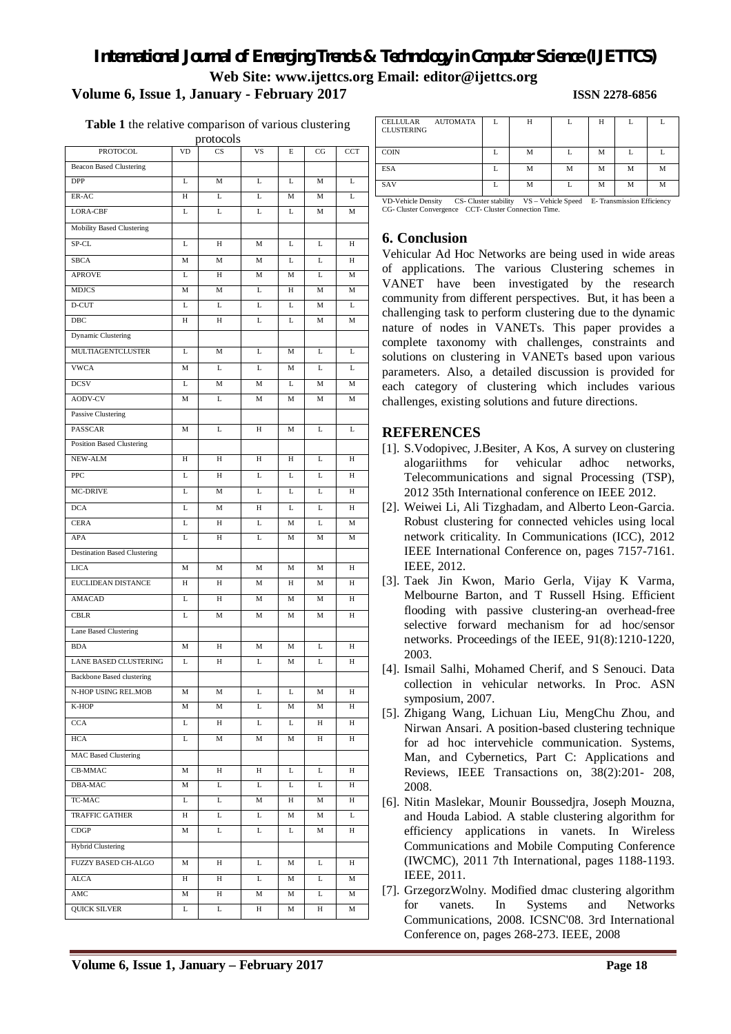**Table 1** the relative comparison of various clustering

| protocols                           |           |                        |            |   |    |            |  |  |  |  |  |
|-------------------------------------|-----------|------------------------|------------|---|----|------------|--|--|--|--|--|
| PROTOCOL                            | <b>VD</b> | $\overline{\text{CS}}$ | VS         | E | CG | <b>CCT</b> |  |  |  |  |  |
| <b>Beacon Based Clustering</b>      |           |                        |            |   |    |            |  |  |  |  |  |
| <b>DPP</b>                          | L         | M                      | L          | L | M  | L          |  |  |  |  |  |
| ER-AC                               | Н         | L                      | L          | M | M  | L          |  |  |  |  |  |
| LORA-CBF                            | L         | L                      | L          | L | M  | M          |  |  |  |  |  |
| Mobility Based Clustering           |           |                        |            |   |    |            |  |  |  |  |  |
| $SP-CL$                             | L         | H                      | M          | L | L  | H          |  |  |  |  |  |
| <b>SBCA</b>                         | M         | M                      | M          | L | L  | H          |  |  |  |  |  |
| <b>APROVE</b>                       | L         | H                      | M          | M | L  | M          |  |  |  |  |  |
| <b>MDJCS</b>                        | M         | M                      | Г          | H | M  | M          |  |  |  |  |  |
| D-CUT                               | L         | L                      | L          | L | M  | L          |  |  |  |  |  |
| DBC                                 | H         | H                      | L          | L | M  | M          |  |  |  |  |  |
| Dynamic Clustering                  |           |                        |            |   |    |            |  |  |  |  |  |
| <b>MULTIAGENTCLUSTER</b>            | L         | М                      | L          | M | L  | L          |  |  |  |  |  |
| <b>VWCA</b>                         | М         | L                      | L          | M | L  | L          |  |  |  |  |  |
| <b>DCSV</b>                         | L         | M                      | М          | L | М  | М          |  |  |  |  |  |
| <b>AODV-CV</b>                      | М         | L                      | М          | М | М  | М          |  |  |  |  |  |
| Passive Clustering                  |           |                        |            |   |    |            |  |  |  |  |  |
| PASSCAR                             | M         | L                      | H          | M | L  | L          |  |  |  |  |  |
| <b>Position Based Clustering</b>    |           |                        |            |   |    |            |  |  |  |  |  |
| NEW-ALM                             | H         | H                      | H          | H | L  | H          |  |  |  |  |  |
| <b>PPC</b>                          | L         | H                      | L          | L | L  | H          |  |  |  |  |  |
| <b>MC-DRIVE</b>                     | L         | M                      | L          | L | L  | H          |  |  |  |  |  |
| <b>DCA</b>                          | L         | M                      | H          | L | L  | H          |  |  |  |  |  |
| <b>CERA</b>                         | L         | $\overline{H}$         | L          | M | L  | M          |  |  |  |  |  |
| APA                                 | L         | H                      | L          | M | М  | M          |  |  |  |  |  |
| <b>Destination Based Clustering</b> |           |                        |            |   |    |            |  |  |  |  |  |
| <b>LICA</b>                         | M         | M                      | M          | M | M  | H          |  |  |  |  |  |
| EUCLIDEAN DISTANCE                  | Н         | H                      | М          | Н | М  | Н          |  |  |  |  |  |
| <b>AMACAD</b>                       | L         | H                      | M          | M | M  | H          |  |  |  |  |  |
| <b>CBLR</b>                         | L         | M                      | M          | M | М  | H          |  |  |  |  |  |
| Lane Based Clustering               |           |                        |            |   |    |            |  |  |  |  |  |
| <b>BDA</b>                          | M         | H                      | M          | M | L  | Н          |  |  |  |  |  |
| LANE BASED CLUSTERING               | L         | H                      | L          | M | L  | H          |  |  |  |  |  |
| <b>Backbone Based clustering</b>    |           |                        |            |   |    |            |  |  |  |  |  |
| N-HOP USING REL.MOB                 | М         | М                      | L          | L | М  | Н          |  |  |  |  |  |
| K-HOP                               | М         | M                      | L          | M | М  | H          |  |  |  |  |  |
| CCA                                 | L         | Н                      | L          | L | Н  | Н          |  |  |  |  |  |
| HCA                                 | L         | M                      | М          | М | Н  | Н          |  |  |  |  |  |
| <b>MAC Based Clustering</b>         |           |                        |            |   |    |            |  |  |  |  |  |
| $CB-MMAC$                           | М         | H                      | $_{\rm H}$ | L | L  | Н          |  |  |  |  |  |
| DBA-MAC                             | М         | L                      | L          | L | L  | Н          |  |  |  |  |  |
| TC-MAC                              | L         | L                      | M          | Н | М  | Η          |  |  |  |  |  |
| <b>TRAFFIC GATHER</b>               | Н         | L                      | L          | М | М  | L          |  |  |  |  |  |
| CDGP                                | М         | L                      | L          | L | М  | Н          |  |  |  |  |  |
| <b>Hybrid Clustering</b>            |           |                        |            |   |    |            |  |  |  |  |  |
| FUZZY BASED CH-ALGO                 | М         | Н                      | L          | М | L  | Η          |  |  |  |  |  |
| ALCA                                | Н         | Н                      | L          | М | L  | M          |  |  |  |  |  |
| AMC                                 | М         | Н                      | М          | М | L  | M          |  |  |  |  |  |
| <b>QUICK SILVER</b>                 | L         | L                      | Н          | М | Н  | М          |  |  |  |  |  |
|                                     |           |                        |            |   |    |            |  |  |  |  |  |

| <b>AUTOMATA</b><br>CELLULAR<br><b>CLUSTERING</b>                                                                 |  | H |   | н |   |   |  |  |
|------------------------------------------------------------------------------------------------------------------|--|---|---|---|---|---|--|--|
| <b>COIN</b>                                                                                                      |  | M |   | М |   |   |  |  |
| <b>ESA</b>                                                                                                       |  | М | М | М | М | М |  |  |
| <b>SAV</b>                                                                                                       |  | М |   | M | М | М |  |  |
| $V_{\rm C}$<br><b>VD</b> Vahiala Dancity<br>CS. Chietar etability<br>Vohiolo Spood<br>E. Transmission Efficiancy |  |   |   |   |   |   |  |  |

VD-Vehicle Density CS- Cluster stability VS – Vehicle Speed E- Transmission Efficiency CG- Cluster Convergence CCT- Cluster Connection Time.

## **6. Conclusion**

Vehicular Ad Hoc Networks are being used in wide areas of applications. The various Clustering schemes in VANET have been investigated by the research community from different perspectives. But, it has been a challenging task to perform clustering due to the dynamic nature of nodes in VANETs. This paper provides a complete taxonomy with challenges, constraints and solutions on clustering in VANETs based upon various parameters. Also, a detailed discussion is provided for each category of clustering which includes various challenges, existing solutions and future directions.

# **REFERENCES**

- [1]. S.Vodopivec, J.Besiter, A Kos, A survey on clustering alogariithms for vehicular adhoc networks, Telecommunications and signal Processing (TSP), 2012 35th International conference on IEEE 2012.
- [2]. Weiwei Li, Ali Tizghadam, and Alberto Leon-Garcia. Robust clustering for connected vehicles using local network criticality. In Communications (ICC), 2012 IEEE International Conference on, pages 7157-7161. IEEE, 2012.
- [3]. Taek Jin Kwon, Mario Gerla, Vijay K Varma, Melbourne Barton, and T Russell Hsing. Efficient flooding with passive clustering-an overhead-free selective forward mechanism for ad hoc/sensor networks. Proceedings of the IEEE, 91(8):1210-1220, 2003.
- [4]. Ismail Salhi, Mohamed Cherif, and S Senouci. Data collection in vehicular networks. In Proc. ASN symposium, 2007.
- [5]. Zhigang Wang, Lichuan Liu, MengChu Zhou, and Nirwan Ansari. A position-based clustering technique for ad hoc intervehicle communication. Systems, Man, and Cybernetics, Part C: Applications and Reviews, IEEE Transactions on, 38(2):201- 208, 2008.
- [6]. Nitin Maslekar, Mounir Boussedjra, Joseph Mouzna, and Houda Labiod. A stable clustering algorithm for efficiency applications in vanets. In Wireless Communications and Mobile Computing Conference (IWCMC), 2011 7th International, pages 1188-1193. IEEE, 2011.
- [7]. GrzegorzWolny. Modified dmac clustering algorithm for vanets. In Systems and Networks Communications, 2008. ICSNC'08. 3rd International Conference on, pages 268-273. IEEE, 2008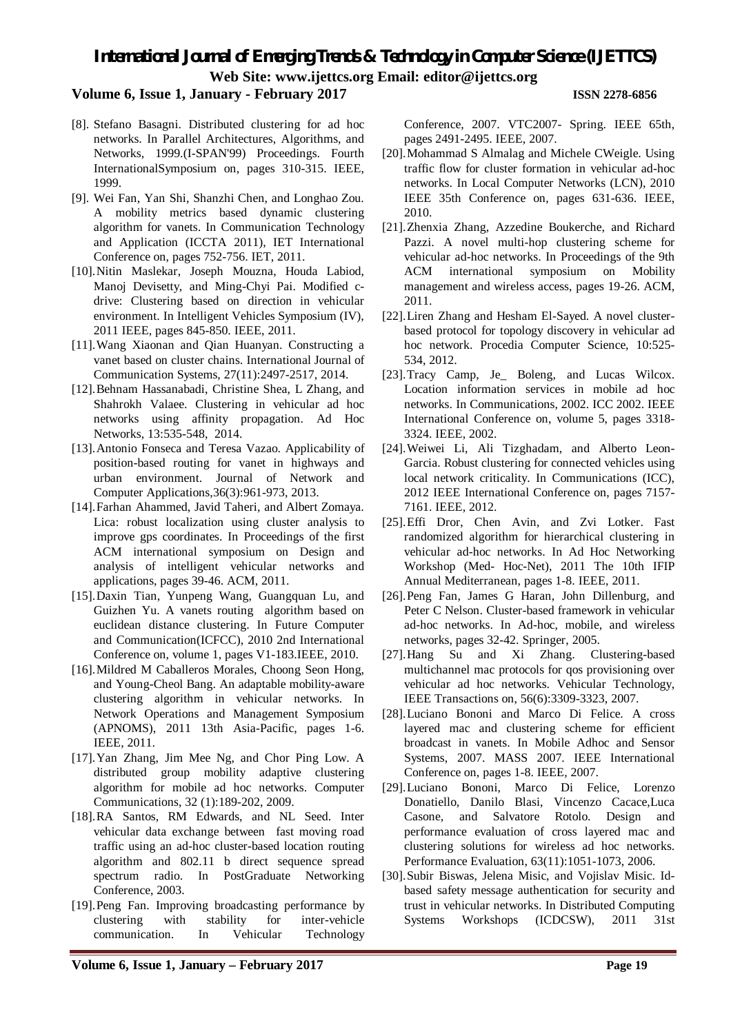### **Volume 6, Issue 1, January - February 2017 ISSN 2278-6856**

- [8]. Stefano Basagni. Distributed clustering for ad hoc networks. In Parallel Architectures, Algorithms, and Networks, 1999.(I-SPAN'99) Proceedings. Fourth InternationalSymposium on, pages 310-315. IEEE, 1999.
- [9]. Wei Fan, Yan Shi, Shanzhi Chen, and Longhao Zou. A mobility metrics based dynamic clustering algorithm for vanets. In Communication Technology and Application (ICCTA 2011), IET International Conference on, pages 752-756. IET, 2011.
- [10].Nitin Maslekar, Joseph Mouzna, Houda Labiod, Manoj Devisetty, and Ming-Chyi Pai. Modified cdrive: Clustering based on direction in vehicular environment. In Intelligent Vehicles Symposium (IV), 2011 IEEE, pages 845-850. IEEE, 2011.
- [11].Wang Xiaonan and Qian Huanyan. Constructing a vanet based on cluster chains. International Journal of Communication Systems, 27(11):2497-2517, 2014.
- [12].Behnam Hassanabadi, Christine Shea, L Zhang, and Shahrokh Valaee. Clustering in vehicular ad hoc networks using affinity propagation. Ad Hoc Networks, 13:535-548, 2014.
- [13].Antonio Fonseca and Teresa Vazao. Applicability of position-based routing for vanet in highways and urban environment. Journal of Network and Computer Applications,36(3):961-973, 2013.
- [14].Farhan Ahammed, Javid Taheri, and Albert Zomaya. Lica: robust localization using cluster analysis to improve gps coordinates. In Proceedings of the first ACM international symposium on Design and analysis of intelligent vehicular networks and applications, pages 39-46. ACM, 2011.
- [15].Daxin Tian, Yunpeng Wang, Guangquan Lu, and Guizhen Yu. A vanets routing algorithm based on euclidean distance clustering. In Future Computer and Communication(ICFCC), 2010 2nd International Conference on, volume 1, pages V1-183.IEEE, 2010.
- [16].Mildred M Caballeros Morales, Choong Seon Hong, and Young-Cheol Bang. An adaptable mobility-aware clustering algorithm in vehicular networks. In Network Operations and Management Symposium (APNOMS), 2011 13th Asia-Pacific, pages 1-6. IEEE, 2011.
- [17].Yan Zhang, Jim Mee Ng, and Chor Ping Low. A distributed group mobility adaptive clustering algorithm for mobile ad hoc networks. Computer Communications, 32 (1):189-202, 2009.
- [18].RA Santos, RM Edwards, and NL Seed. Inter vehicular data exchange between fast moving road traffic using an ad-hoc cluster-based location routing algorithm and 802.11 b direct sequence spread spectrum radio. In PostGraduate Networking Conference, 2003.
- [19].Peng Fan. Improving broadcasting performance by clustering with stability for inter-vehicle communication. In Vehicular Technology

Conference, 2007. VTC2007- Spring. IEEE 65th, pages 2491-2495. IEEE, 2007.

- [20].Mohammad S Almalag and Michele CWeigle. Using traffic flow for cluster formation in vehicular ad-hoc networks. In Local Computer Networks (LCN), 2010 IEEE 35th Conference on, pages 631-636. IEEE, 2010.
- [21].Zhenxia Zhang, Azzedine Boukerche, and Richard Pazzi. A novel multi-hop clustering scheme for vehicular ad-hoc networks. In Proceedings of the 9th ACM international symposium on Mobility management and wireless access, pages 19-26. ACM, 2011.
- [22].Liren Zhang and Hesham El-Sayed. A novel clusterbased protocol for topology discovery in vehicular ad hoc network. Procedia Computer Science, 10:525- 534, 2012.
- [23].Tracy Camp, Je\_ Boleng, and Lucas Wilcox. Location information services in mobile ad hoc networks. In Communications, 2002. ICC 2002. IEEE International Conference on, volume 5, pages 3318- 3324. IEEE, 2002.
- [24].Weiwei Li, Ali Tizghadam, and Alberto Leon-Garcia. Robust clustering for connected vehicles using local network criticality. In Communications (ICC), 2012 IEEE International Conference on, pages 7157- 7161. IEEE, 2012.
- [25].Effi Dror, Chen Avin, and Zvi Lotker. Fast randomized algorithm for hierarchical clustering in vehicular ad-hoc networks. In Ad Hoc Networking Workshop (Med- Hoc-Net), 2011 The 10th IFIP Annual Mediterranean, pages 1-8. IEEE, 2011.
- [26].Peng Fan, James G Haran, John Dillenburg, and Peter C Nelson. Cluster-based framework in vehicular ad-hoc networks. In Ad-hoc, mobile, and wireless networks, pages 32-42. Springer, 2005.
- [27].Hang Su and Xi Zhang. Clustering-based multichannel mac protocols for qos provisioning over vehicular ad hoc networks. Vehicular Technology, IEEE Transactions on, 56(6):3309-3323, 2007.
- [28].Luciano Bononi and Marco Di Felice. A cross layered mac and clustering scheme for efficient broadcast in vanets. In Mobile Adhoc and Sensor Systems, 2007. MASS 2007. IEEE International Conference on, pages 1-8. IEEE, 2007.
- [29].Luciano Bononi, Marco Di Felice, Lorenzo Donatiello, Danilo Blasi, Vincenzo Cacace,Luca Casone, and Salvatore Rotolo. Design and performance evaluation of cross layered mac and clustering solutions for wireless ad hoc networks. Performance Evaluation, 63(11):1051-1073, 2006.
- [30].Subir Biswas, Jelena Misic, and Vojislav Misic. Idbased safety message authentication for security and trust in vehicular networks. In Distributed Computing Systems Workshops (ICDCSW), 2011 31st